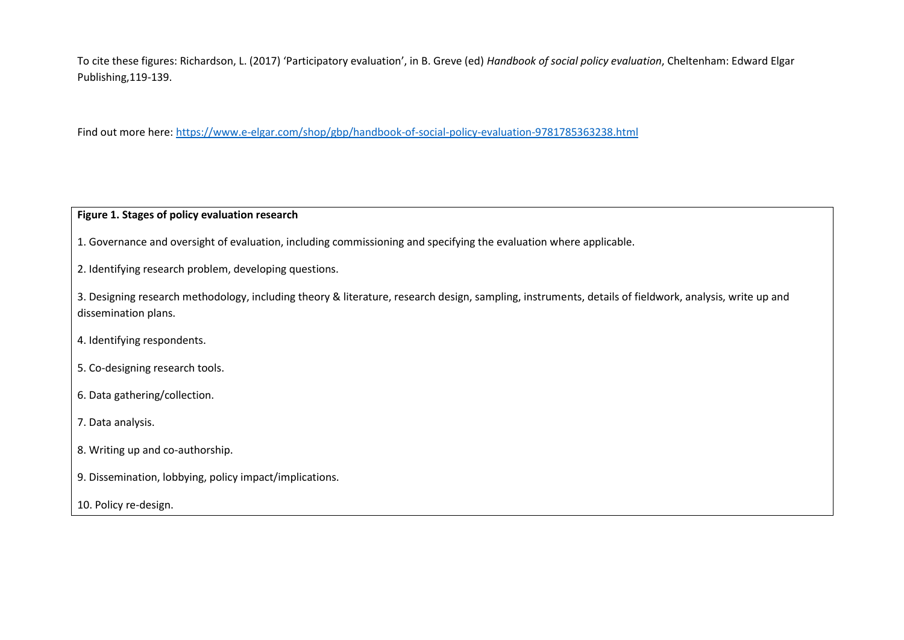To cite these figures: Richardson, L. (2017) 'Participatory evaluation', in B. Greve (ed) *Handbook of social policy evaluation*, Cheltenham: Edward Elgar Publishing,119-139.

Find out more here:<https://www.e-elgar.com/shop/gbp/handbook-of-social-policy-evaluation-9781785363238.html>

## **Figure 1. Stages of policy evaluation research**

1. Governance and oversight of evaluation, including commissioning and specifying the evaluation where applicable.

2. Identifying research problem, developing questions.

3. Designing research methodology, including theory & literature, research design, sampling, instruments, details of fieldwork, analysis, write up and dissemination plans.

- 4. Identifying respondents.
- 5. Co-designing research tools.
- 6. Data gathering/collection.
- 7. Data analysis.
- 8. Writing up and co-authorship.
- 9. Dissemination, lobbying, policy impact/implications.
- 10. Policy re-design.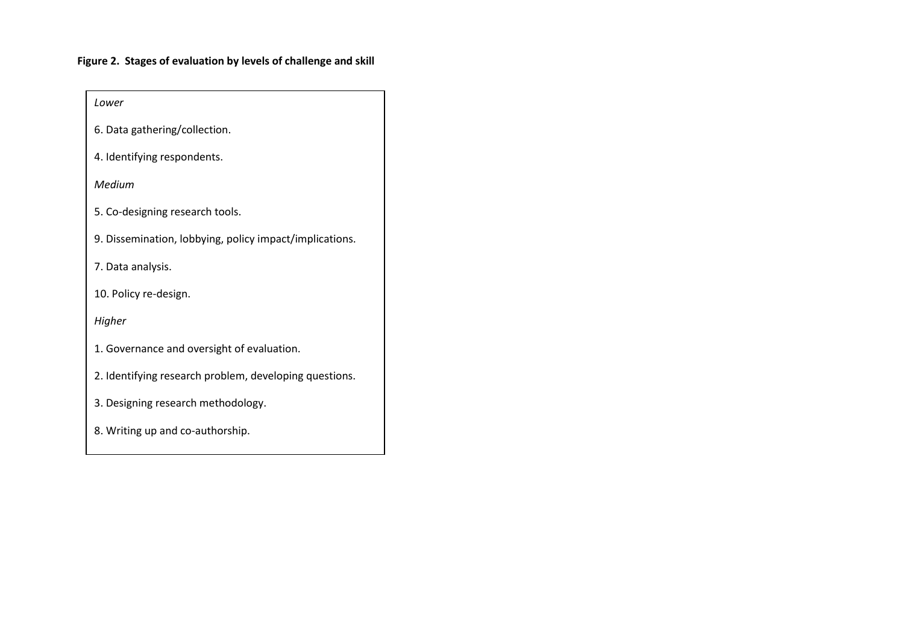## **Figure 2. Stages of evaluation by levels of challenge and skill**

| Lower                                                   |
|---------------------------------------------------------|
| 6. Data gathering/collection.                           |
| 4. Identifying respondents.                             |
| Medium                                                  |
| 5. Co-designing research tools.                         |
| 9. Dissemination, lobbying, policy impact/implications. |
| 7. Data analysis.                                       |
| 10. Policy re-design.                                   |
| Higher                                                  |
| 1. Governance and oversight of evaluation.              |
| 2. Identifying research problem, developing questions.  |
| 3. Designing research methodology.                      |
| 8. Writing up and co-authorship.                        |
|                                                         |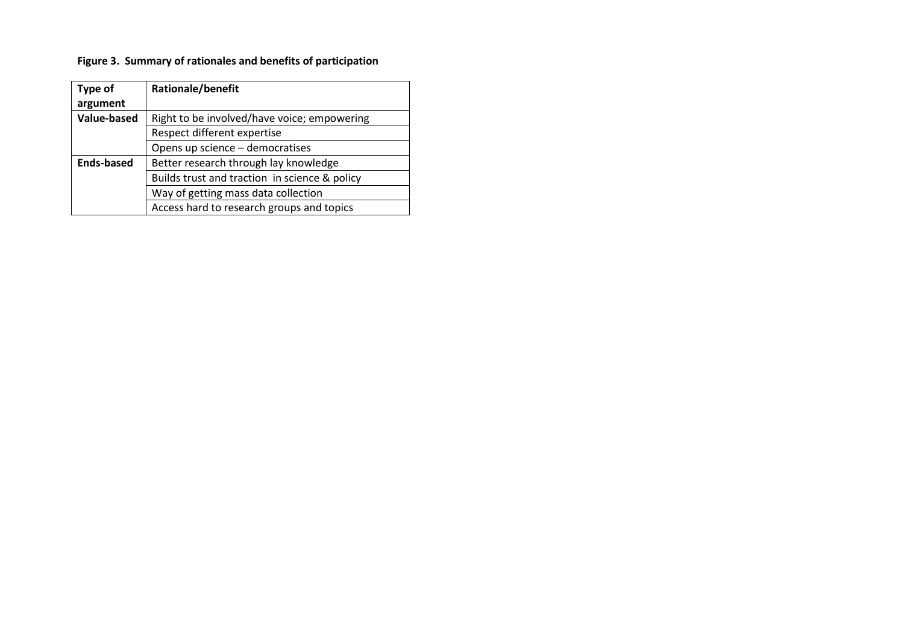## **Figure 3. Summary of rationales and benefits of participation**

| <b>Type of</b>     | Rationale/benefit                             |
|--------------------|-----------------------------------------------|
| argument           |                                               |
| <b>Value-based</b> | Right to be involved/have voice; empowering   |
|                    | Respect different expertise                   |
|                    | Opens up science - democratises               |
| <b>Ends-based</b>  | Better research through lay knowledge         |
|                    | Builds trust and traction in science & policy |
|                    | Way of getting mass data collection           |
|                    | Access hard to research groups and topics     |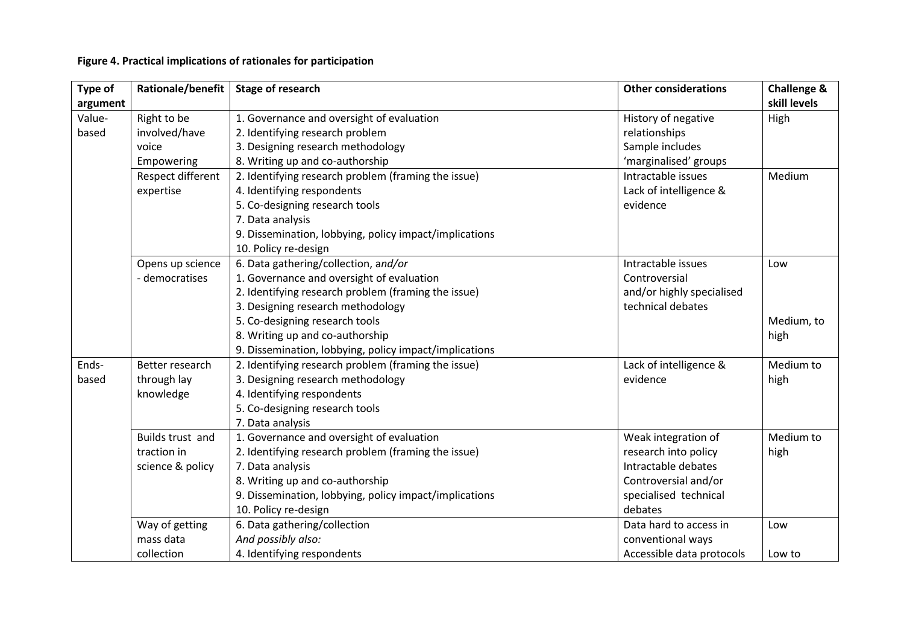## **Figure 4. Practical implications of rationales for participation**

| Type of          | Rationale/benefit                                                      | <b>Stage of research</b><br><b>Other considerations</b>          |                           | <b>Challenge &amp;</b><br>skill levels |
|------------------|------------------------------------------------------------------------|------------------------------------------------------------------|---------------------------|----------------------------------------|
| argument         |                                                                        |                                                                  |                           |                                        |
| Value-           | Right to be                                                            | 1. Governance and oversight of evaluation<br>History of negative |                           | High                                   |
| based            | involved/have                                                          | 2. Identifying research problem                                  | relationships             |                                        |
|                  | voice                                                                  | 3. Designing research methodology                                | Sample includes           |                                        |
|                  | Empowering                                                             | 8. Writing up and co-authorship                                  | 'marginalised' groups     |                                        |
|                  | Respect different                                                      | 2. Identifying research problem (framing the issue)              | Intractable issues        | Medium                                 |
|                  | expertise                                                              | 4. Identifying respondents                                       | Lack of intelligence &    |                                        |
|                  |                                                                        | 5. Co-designing research tools                                   | evidence                  |                                        |
|                  |                                                                        | 7. Data analysis                                                 |                           |                                        |
|                  |                                                                        | 9. Dissemination, lobbying, policy impact/implications           |                           |                                        |
|                  |                                                                        | 10. Policy re-design                                             |                           |                                        |
| Opens up science |                                                                        | 6. Data gathering/collection, and/or                             | Intractable issues        | Low                                    |
|                  | - democratises                                                         | 1. Governance and oversight of evaluation                        | Controversial             |                                        |
|                  |                                                                        | 2. Identifying research problem (framing the issue)              | and/or highly specialised |                                        |
|                  |                                                                        | 3. Designing research methodology                                | technical debates         |                                        |
|                  |                                                                        | 5. Co-designing research tools                                   |                           | Medium, to                             |
|                  |                                                                        | 8. Writing up and co-authorship                                  |                           | high                                   |
|                  |                                                                        | 9. Dissemination, lobbying, policy impact/implications           |                           |                                        |
| Ends-            | 2. Identifying research problem (framing the issue)<br>Better research |                                                                  | Lack of intelligence &    | Medium to                              |
| based            | through lay                                                            | 3. Designing research methodology                                | evidence                  | high                                   |
|                  | knowledge                                                              | 4. Identifying respondents                                       |                           |                                        |
|                  |                                                                        | 5. Co-designing research tools                                   |                           |                                        |
|                  |                                                                        | 7. Data analysis                                                 |                           |                                        |
| Builds trust and |                                                                        | 1. Governance and oversight of evaluation                        | Weak integration of       | Medium to                              |
|                  | traction in                                                            | 2. Identifying research problem (framing the issue)              | research into policy      | high                                   |
|                  | science & policy                                                       | 7. Data analysis                                                 | Intractable debates       |                                        |
|                  |                                                                        | 8. Writing up and co-authorship                                  | Controversial and/or      |                                        |
|                  |                                                                        | 9. Dissemination, lobbying, policy impact/implications           | specialised technical     |                                        |
|                  |                                                                        | 10. Policy re-design                                             | debates                   |                                        |
|                  | Way of getting                                                         | 6. Data gathering/collection                                     | Data hard to access in    | Low                                    |
|                  | mass data                                                              | And possibly also:                                               | conventional ways         |                                        |
| collection       |                                                                        | 4. Identifying respondents                                       | Accessible data protocols | Low to                                 |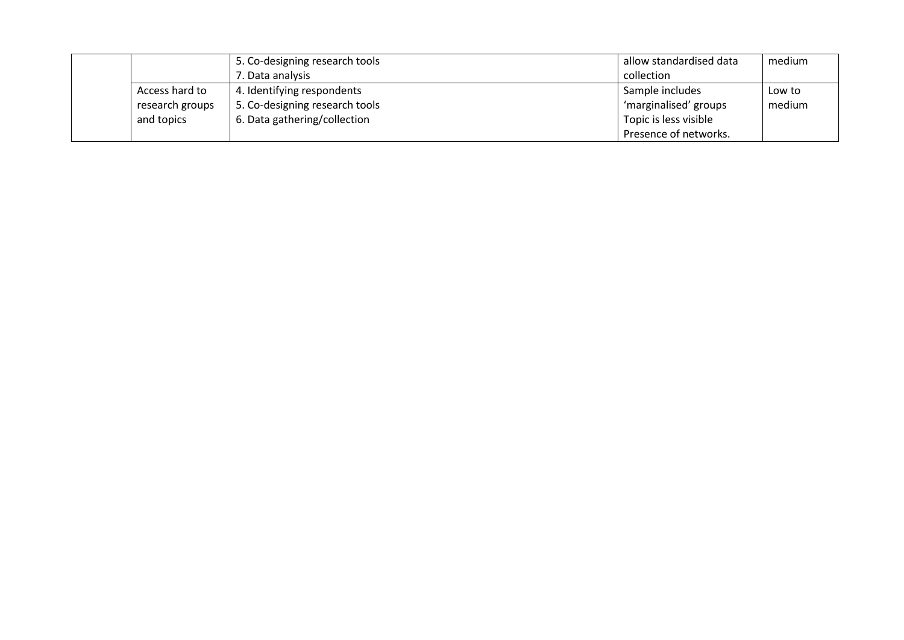| 5. Co-designing research tools |                 |                                | allow standardised data | medium |
|--------------------------------|-----------------|--------------------------------|-------------------------|--------|
|                                |                 | 7. Data analysis               | collection              |        |
|                                | Access hard to  | 4. Identifying respondents     | Sample includes         | Low to |
|                                | research groups | 5. Co-designing research tools | 'marginalised' groups   | medium |
|                                | and topics      | 6. Data gathering/collection   | Topic is less visible   |        |
|                                |                 |                                | Presence of networks.   |        |